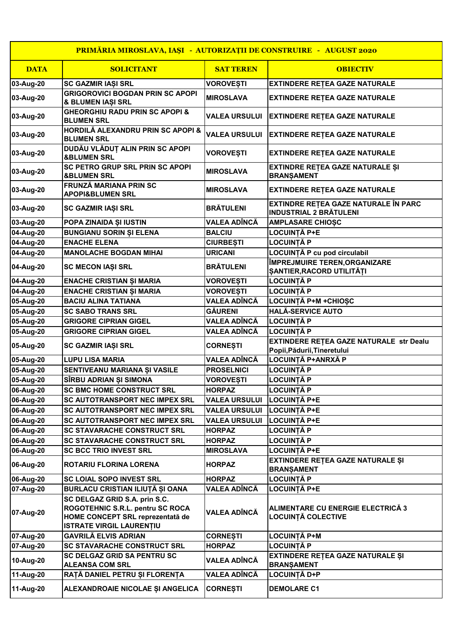| PRIMĂRIA MIROSLAVA, IAȘI - AUTORIZAȚII DE CONSTRUIRE - AUGUST 2020 |                                                                                                                                          |                      |                                                                               |  |  |
|--------------------------------------------------------------------|------------------------------------------------------------------------------------------------------------------------------------------|----------------------|-------------------------------------------------------------------------------|--|--|
| <b>DATA</b>                                                        | <b>SOLICITANT</b>                                                                                                                        | <b>SAT TEREN</b>     | <b>OBIECTIV</b>                                                               |  |  |
| 03-Aug-20                                                          | <b>SC GAZMIR IAŞI SRL</b>                                                                                                                | <b>VOROVEȘTI</b>     | EXTINDERE REȚEA GAZE NATURALE                                                 |  |  |
| 03-Aug-20                                                          | <b>GRIGOROVICI BOGDAN PRIN SC APOPI</b><br>& BLUMEN IAȘI SRL                                                                             | <b>MIROSLAVA</b>     | <b>EXTINDERE RETEA GAZE NATURALE</b>                                          |  |  |
| 03-Aug-20                                                          | <b>GHEORGHIU RADU PRIN SC APOPI &amp;</b><br><b>BLUMEN SRL</b>                                                                           | <b>VALEA URSULUI</b> | <b>EXTINDERE RETEA GAZE NATURALE</b>                                          |  |  |
| 03-Aug-20                                                          | HORDILĂ ALEXANDRU PRIN SC APOPI &<br><b>BLUMEN SRL</b>                                                                                   | <b>VALEA URSULUI</b> | <b>EXTINDERE RETEA GAZE NATURALE</b>                                          |  |  |
| 03-Aug-20                                                          | DUDĂU VLĂDUȚ ALIN PRIN SC APOPI<br><b>&amp;BLUMEN SRL</b>                                                                                | <b>VOROVEȘTI</b>     | <b>EXTINDERE RETEA GAZE NATURALE</b>                                          |  |  |
| 03-Aug-20                                                          | SC PETRO GRUP SRL PRIN SC APOPI<br><b>&amp;BLUMEN SRL</b>                                                                                | <b>MIROSLAVA</b>     | EXTINDRE RETEA GAZE NATURALE ȘI<br><b>BRANŞAMENT</b>                          |  |  |
| 03-Aug-20                                                          | FRUNZĂ MARIANA PRIN SC<br><b>APOPI&amp;BLUMEN SRL</b>                                                                                    | <b>MIROSLAVA</b>     | <b>EXTINDERE RETEA GAZE NATURALE</b>                                          |  |  |
| 03-Aug-20                                                          | SC GAZMIR IAȘI SRL                                                                                                                       | <b>BRÄTULENI</b>     | EXTINDRE RETEA GAZE NATURALE ÎN PARC<br><b>INDUSTRIAL 2 BRÄTULENI</b>         |  |  |
| 03-Aug-20                                                          | POPA ZINAIDA ȘI IUSTIN                                                                                                                   | VALEA ADÎNCĂ         | <b>AMPLASARE CHIOSC</b>                                                       |  |  |
| 04-Aug-20                                                          | <b>BUNGIANU SORIN ȘI ELENA</b>                                                                                                           | <b>BALCIU</b>        | <b>LOCUINȚĂ P+E</b>                                                           |  |  |
| 04-Aug-20                                                          | <b>ENACHE ELENA</b>                                                                                                                      | <b>CIURBEȘTI</b>     | <b>LOCUINȚĂ P</b>                                                             |  |  |
| 04-Aug-20                                                          | <b>MANOLACHE BOGDAN MIHAI</b>                                                                                                            | <b>URICANI</b>       | LOCUINȚĂ P cu pod circulabil                                                  |  |  |
| 04-Aug-20                                                          | <b>SC MECON IAȘI SRL</b>                                                                                                                 | <b>BRĂTULENI</b>     | ÎMPREJMUIRE TEREN, ORGANIZARE<br>ȘANTIER, RACORD UTILITĂȚI                    |  |  |
| 04-Aug-20                                                          | ENACHE CRISTIAN ȘI MARIA                                                                                                                 | <b>VOROVEȘTI</b>     | LOCUINȚĂ P                                                                    |  |  |
| 04-Aug-20                                                          | ENACHE CRISTIAN ȘI MARIA                                                                                                                 | <b>VOROVEȘTI</b>     | <b>LOCUINȚĂ P</b>                                                             |  |  |
| 05-Aug-20                                                          | <b>BACIU ALINA TATIANA</b>                                                                                                               | VALEA ADÎNCĂ         | LOCUINȚĂ P+M +CHIOȘC                                                          |  |  |
| 05-Aug-20                                                          | <b>SC SABO TRANS SRL</b>                                                                                                                 | <b>GÄURENI</b>       | <b>HALĂ-SERVICE AUTO</b>                                                      |  |  |
| 05-Aug-20                                                          | <b>GRIGORE CIPRIAN GIGEL</b>                                                                                                             | VALEA ADÎNCĂ         | <b>LOCUINȚĂ P</b>                                                             |  |  |
| 05-Aug-20                                                          | <b>GRIGORE CIPRIAN GIGEL</b>                                                                                                             | VALEA ADÎNCĂ         | <b>LOCUINȚĂ P</b>                                                             |  |  |
| 05-Aug-20                                                          | SC GAZMIR IAȘI SRL                                                                                                                       | <b>CORNEȘTI</b>      | <b>EXTINDERE RETEA GAZE NATURALE str Dealu</b><br>Popii, Pădurii, Tineretului |  |  |
| 05-Aug-20                                                          | <b>LUPU LISA MARIA</b>                                                                                                                   | VALEA ADÎNCĂ         | LOCUINȚĂ P+ANRXĂ P                                                            |  |  |
| 05-Aug-20                                                          | SENTIVEANU MARIANA ȘI VASILE                                                                                                             | <b>PROSELNICI</b>    | <b>LOCUINȚĂ P</b>                                                             |  |  |
| 05-Aug-20                                                          | SÎRBU ADRIAN ȘI SIMONA                                                                                                                   | <b>VOROVEȘTI</b>     | LOCUINȚĂ P                                                                    |  |  |
| 06-Aug-20                                                          | <b>SC BMC HOME CONSTRUCT SRL</b>                                                                                                         | <b>HORPAZ</b>        | LOCUINȚĂ P                                                                    |  |  |
| 06-Aug-20                                                          | SC AUTOTRANSPORT NEC IMPEX SRL                                                                                                           | <b>VALEA URSULUI</b> | LOCUINȚĂ P+E                                                                  |  |  |
| 06-Aug-20                                                          | SC AUTOTRANSPORT NEC IMPEX SRL                                                                                                           | <b>VALEA URSULUI</b> | <b>LOCUINTĂ P+E</b>                                                           |  |  |
| 06-Aug-20                                                          | <b>SC AUTOTRANSPORT NEC IMPEX SRL</b>                                                                                                    | <b>VALEA URSULUI</b> | <b>LOCUINȚĂ P+E</b>                                                           |  |  |
| 06-Aug-20                                                          | <b>SC STAVARACHE CONSTRUCT SRL</b>                                                                                                       | <b>HORPAZ</b>        | LOCUINȚĂ P                                                                    |  |  |
| 06-Aug-20                                                          | SC STAVARACHE CONSTRUCT SRL                                                                                                              | <b>HORPAZ</b>        | LOCUINȚĂ P                                                                    |  |  |
| 06-Aug-20                                                          | <b>SC BCC TRIO INVEST SRL</b>                                                                                                            | <b>MIROSLAVA</b>     | <b>LOCUINȚĂ P+E</b>                                                           |  |  |
| 06-Aug-20                                                          | ROTARIU FLORINA LORENA                                                                                                                   | <b>HORPAZ</b>        | EXTINDERE REȚEA GAZE NATURALE ȘI<br><b>BRANŞAMENT</b>                         |  |  |
| 06-Aug-20                                                          | <b>SC LOIAL SOPO INVEST SRL</b>                                                                                                          | <b>HORPAZ</b>        | LOCUINȚĂ P                                                                    |  |  |
| 07-Aug-20                                                          | BURLACU CRISTIAN ILIUȚĂ ȘI OANA                                                                                                          | VALEA ADÎNCĂ         | LOCUINȚĂ P+E                                                                  |  |  |
| 07-Aug-20                                                          | SC DELGAZ GRID S.A. prin S.C.<br>ROGOTEHNIC S.R.L. pentru SC ROCA<br>HOME CONCEPT SRL reprezentată de<br><b>ISTRATE VIRGIL LAURENȚIU</b> | VALEA ADÎNCĂ         | ALIMENTARE CU ENERGIE ELECTRICĂ 3<br><b>LOCUINȚĂ COLECTIVE</b>                |  |  |
| 07-Aug-20                                                          | <b>GAVRILĂ ELVIS ADRIAN</b>                                                                                                              | <b>CORNEȘTI</b>      | LOCUINȚĂ P+M                                                                  |  |  |
| 07-Aug-20                                                          | <b>SC STAVARACHE CONSTRUCT SRL</b>                                                                                                       | <b>HORPAZ</b>        | <b>LOCUINTÀ P</b>                                                             |  |  |
| 10-Aug-20                                                          | <b>SC DELGAZ GRID SA PENTRU SC</b><br><b>ALEANSA COM SRL</b>                                                                             | VALEA ADÎNCĂ         | EXTINDERE REȚEA GAZE NATURALE ȘI<br><b>BRANŞAMENT</b>                         |  |  |
| 11-Aug-20                                                          | RAȚĂ DANIEL PETRU ȘI FLORENȚA                                                                                                            | VALEA ADÎNCĂ         | LOCUINȚĂ D+P                                                                  |  |  |
| 11-Aug-20                                                          | ALEXANDROAIE NICOLAE ȘI ANGELICA                                                                                                         | <b>CORNEȘTI</b>      | <b>DEMOLARE C1</b>                                                            |  |  |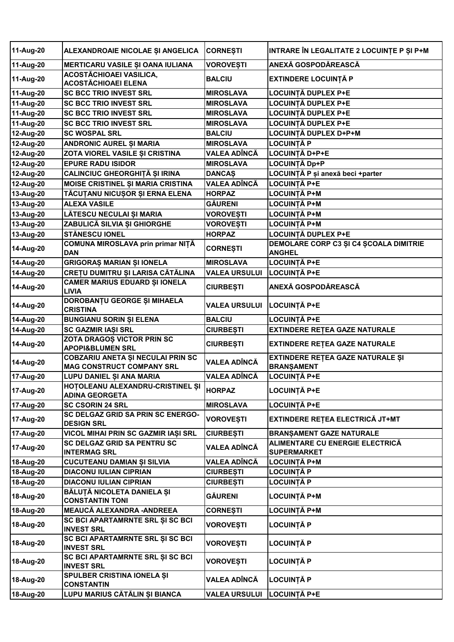| 11-Aug-20 | ALEXANDROAIE NICOLAE ȘI ANGELICA                                      | <b>CORNESTI</b>      | INTRARE ÎN LEGALITATE 2 LOCUINȚE P ȘI P+M             |
|-----------|-----------------------------------------------------------------------|----------------------|-------------------------------------------------------|
| 11-Aug-20 | MERTICARU VASILE ȘI OANA IULIANA                                      | <b>VOROVESTI</b>     | ANEXĂ GOSPODĂREASCĂ                                   |
| 11-Aug-20 | <b>ACOSTĂCHIOAEI VASILICA,</b><br><b>ACOSTĂCHIOAEI ELENA</b>          | <b>BALCIU</b>        | <b>EXTINDERE LOCUINȚĂ P</b>                           |
| 11-Aug-20 | <b>SC BCC TRIO INVEST SRL</b>                                         | <b>MIROSLAVA</b>     | <b>LOCUINȚĂ DUPLEX P+E</b>                            |
| 11-Aug-20 | <b>SC BCC TRIO INVEST SRL</b>                                         | <b>MIROSLAVA</b>     | <b>LOCUINȚĂ DUPLEX P+E</b>                            |
| 11-Aug-20 | <b>SC BCC TRIO INVEST SRL</b>                                         | <b>MIROSLAVA</b>     | LOCUINȚĂ DUPLEX P+E                                   |
| 11-Aug-20 | <b>SC BCC TRIO INVEST SRL</b>                                         | <b>MIROSLAVA</b>     | LOCUINȚĂ DUPLEX P+E                                   |
| 12-Aug-20 | <b>SC WOSPAL SRL</b>                                                  | <b>BALCIU</b>        | LOCUINȚĂ DUPLEX D+P+M                                 |
| 12-Aug-20 | ANDRONIC AUREL ȘI MARIA                                               | <b>MIROSLAVA</b>     | <b>LOCUINTĂ P</b>                                     |
| 12-Aug-20 | ZOTA VIOREL VASILE ȘI CRISTINA                                        | <b>VALEA ADÎNCĂ</b>  | LOCUINȚĂ D+P+E                                        |
| 12-Aug-20 | <b>EPURE RADU ISIDOR</b>                                              | <b>MIROSLAVA</b>     | LOCUINȚĂ Dp+P                                         |
| 12-Aug-20 | CALINCIUC GHEORGHIȚĂ ȘI IRINA                                         | <b>DANCAŞ</b>        | LOCUINȚĂ P și anexă beci + parter                     |
| 12-Aug-20 | <b>MOISE CRISTINEL ȘI MARIA CRISTINA</b>                              | <b>VALEA ADÎNCĂ</b>  | <b>LOCUINȚĂ P+E</b>                                   |
| 13-Aug-20 | TĂCUȚANU NICUȘOR ȘI ERNA ELENA                                        | <b>HORPAZ</b>        | LOCUINTĂ P+M                                          |
| 13-Aug-20 | <b>ALEXA VASILE</b>                                                   | <b>GÄURENI</b>       | LOCUINȚĂ P+M                                          |
| 13-Aug-20 | LĂTESCU NECULAI ȘI MARIA                                              | <b>VOROVEȘTI</b>     | LOCUINȚĂ P+M                                          |
| 13-Aug-20 | ZABULICĂ SILVIA ȘI GHIORGHE                                           | <b>VOROVEȘTI</b>     | LOCUINȚĂ P+M                                          |
| 13-Aug-20 | <b>STÅNESCU IONEL</b>                                                 | <b>HORPAZ</b>        | LOCUINȚĂ DUPLEX P+E                                   |
| 14-Aug-20 | COMUNA MIROSLAVA prin primar NIȚĂ                                     | <b>CORNEȘTI</b>      | DEMOLARE CORP C3 ȘI C4 ȘCOALA DIMITRIE                |
|           | <b>DAN</b>                                                            |                      | <b>ANGHEL</b>                                         |
| 14-Aug-20 | <b>GRIGORAȘ MARIAN ȘI IONELA</b>                                      | <b>MIROSLAVA</b>     | <b>LOCUINȚĂ P+E</b>                                   |
| 14-Aug-20 | CREȚU DUMITRU ȘI LARISA CĂTĂLINA                                      | <b>VALEA URSULUI</b> | <b>LOCUINȚĂ P+E</b>                                   |
| 14-Aug-20 | CAMER MARIUS EDUARD ȘI IONELA<br><b>LIVIA</b>                         | <b>CIURBEȘTI</b>     | ANEXĂ GOSPODĂREASCĂ                                   |
| 14-Aug-20 | DOROBANȚU GEORGE ȘI MIHAELA<br><b>CRISTINA</b>                        | <b>VALEA URSULUI</b> | LOCUINȚĂ P+E                                          |
| 14-Aug-20 | <b>BUNGIANU SORIN ȘI ELENA</b>                                        | <b>BALCIU</b>        | LOCUINȚĂ P+E                                          |
| 14-Aug-20 | SC GAZMIR IAȘI SRL                                                    | <b>CIURBEȘTI</b>     | <b>EXTINDERE RETEA GAZE NATURALE</b>                  |
| 14-Aug-20 | ZOTA DRAGOȘ VICTOR PRIN SC<br><b>APOPI&amp;BLUMEN SRL</b>             | <b>CIURBEȘTI</b>     | <b>EXTINDERE RETEA GAZE NATURALE</b>                  |
| 14-Aug-20 | COBZARIU ANETA ȘI NECULAI PRIN SC<br><b>MAG CONSTRUCT COMPANY SRL</b> | <b>VALEA ADÎNCĂ</b>  | EXTINDERE REȚEA GAZE NATURALE ȘI<br><b>BRANŞAMENT</b> |
| 17-Aug-20 | LUPU DANIEL ȘI ANA MARIA                                              | <b>VALEA ADÎNCĂ</b>  | <b>LOCUINȚĂ P+E</b>                                   |
| 17-Aug-20 | HOTOLEANU ALEXANDRU-CRISTINEL ȘI<br><b>ADINA GEORGETA</b>             | <b>HORPAZ</b>        | <b>LOCUINȚĂ P+E</b>                                   |
| 17-Aug-20 | <b>SC CSORIN 24 SRL</b>                                               | <b>MIROSLAVA</b>     | LOCUINȚĂ P+E                                          |
|           | SC DELGAZ GRID SA PRIN SC ENERGO-                                     |                      |                                                       |
| 17-Aug-20 | <b>DESIGN SRL</b>                                                     | <b>VOROVEȘTI</b>     | EXTINDERE REȚEA ELECTRICĂ JT+MT                       |
| 17-Aug-20 | VICOL MIHAI PRIN SC GAZMIR IAȘI SRL                                   | <b>CIURBEȘTI</b>     | <b>BRANŞAMENT GAZE NATURALE</b>                       |
| 17-Aug-20 | SC DELGAZ GRID SA PENTRU SC<br><b>INTERMAG SRL</b>                    | VALEA ADÎNCĂ         | ALIMENTARE CU ENERGIE ELECTRICĂ<br><b>SUPERMARKET</b> |
| 18-Aug-20 | <b>CUCUTEANU DAMIAN ȘI SILVIA</b>                                     | <b>VALEA ADÎNCĂ</b>  | LOCUINȚĂ P+M                                          |
| 18-Aug-20 | <b>DIACONU IULIAN CIPRIAN</b>                                         | <b>CIURBEȘTI</b>     | LOCUINȚĂ P                                            |
| 18-Aug-20 | <b>DIACONU IULIAN CIPRIAN</b>                                         | <b>CIURBEȘTI</b>     | LOCUINȚĂ P                                            |
| 18-Aug-20 | BĂLUȚĂ NICOLETA DANIELA ȘI<br><b>CONSTANTIN TONI</b>                  | GĂURENI              | LOCUINȚĂ P+M                                          |
| 18-Aug-20 | MEAUCĂ ALEXANDRA - ANDREEA                                            | <b>CORNEȘTI</b>      | LOCUINȚĂ P+M                                          |
| 18-Aug-20 | SC BCI APARTAMRNTE SRL ȘI SC BCI<br><b>INVEST SRL</b>                 | <b>VOROVEȘTI</b>     | LOCUINȚĂ P                                            |
| 18-Aug-20 | SC BCI APARTAMRNTE SRL ȘI SC BCI<br><b>INVEST SRL</b>                 | <b>VOROVEȘTI</b>     | LOCUINȚĂ P                                            |
| 18-Aug-20 | SC BCI APARTAMRNTE SRL ȘI SC BCI<br><b>INVEST SRL</b>                 | <b>VOROVEȘTI</b>     | <b>LOCUINȚĂ P</b>                                     |
| 18-Aug-20 | SPULBER CRISTINA IONELA ȘI<br><b>CONSTANTIN</b>                       | VALEA ADÎNCĂ         | <b>LOCUINȚĂ P</b>                                     |
| 18-Aug-20 | LUPU MARIUS CĂTĂLIN ȘI BIANCA                                         | <b>VALEA URSULUI</b> | <b>LOCUINȚĂ P+E</b>                                   |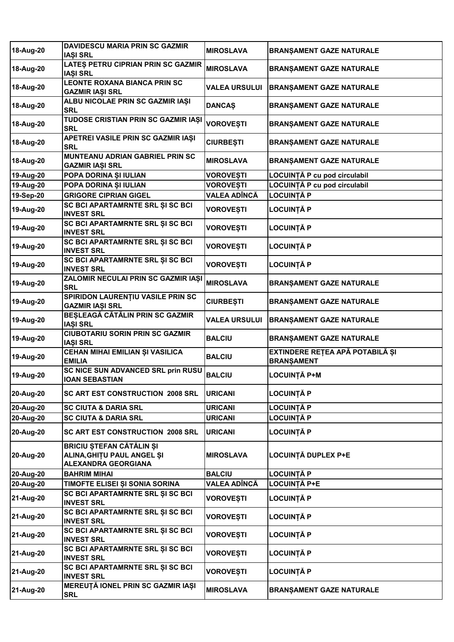| 18-Aug-20 | <b>DAVIDESCU MARIA PRIN SC GAZMIR</b><br><b>IASI SRL</b>                             | <b>MIROSLAVA</b>     | <b>BRANŞAMENT GAZE NATURALE</b>                      |
|-----------|--------------------------------------------------------------------------------------|----------------------|------------------------------------------------------|
| 18-Aug-20 | LATES PETRU CIPRIAN PRIN SC GAZMIR<br><b>IAȘI SRL</b>                                | <b>MIROSLAVA</b>     | <b>BRANŞAMENT GAZE NATURALE</b>                      |
| 18-Aug-20 | <b>LEONTE ROXANA BIANCA PRIN SC</b><br><b>GAZMIR IAȘI SRL</b>                        | <b>VALEA URSULUI</b> | <b>BRANŞAMENT GAZE NATURALE</b>                      |
| 18-Aug-20 | ALBU NICOLAE PRIN SC GAZMIR IAȘI<br><b>SRL</b>                                       | <b>DANCAŞ</b>        | <b>BRANŞAMENT GAZE NATURALE</b>                      |
| 18-Aug-20 | TUDOSE CRISTIAN PRIN SC GAZMIR IAȘI<br><b>SRL</b>                                    | <b>VOROVEȘTI</b>     | <b>BRANŞAMENT GAZE NATURALE</b>                      |
| 18-Aug-20 | APETREI VASILE PRIN SC GAZMIR IAȘI<br><b>SRL</b>                                     | <b>CIURBEȘTI</b>     | <b>BRANŞAMENT GAZE NATURALE</b>                      |
| 18-Aug-20 | MUNTEANU ADRIAN GABRIEL PRIN SC<br>GAZMIR IAŞI SRL                                   | <b>MIROSLAVA</b>     | <b>BRANŞAMENT GAZE NATURALE</b>                      |
| 19-Aug-20 | POPA DORINA ȘI IULIAN                                                                | VOROVEȘTI            | LOCUINȚĂ P cu pod circulabil                         |
| 19-Aug-20 | POPA DORINA ȘI IULIAN                                                                | <b>VOROVEȘTI</b>     | LOCUINȚĂ P cu pod circulabil                         |
| 19-Sep-20 | <b>GRIGORE CIPRIAN GIGEL</b>                                                         | VALEA ADÎNCĂ         | <b>LOCUINȚĂ P</b>                                    |
|           | SC BCI APARTAMRNTE SRL ȘI SC BCI                                                     |                      |                                                      |
| 19-Aug-20 | <b>INVEST SRL</b>                                                                    | <b>VOROVEȘTI</b>     | <b>LOCUINȚĂ P</b>                                    |
| 19-Aug-20 | SC BCI APARTAMRNTE SRL ȘI SC BCI<br><b>INVEST SRL</b>                                | <b>VOROVEȘTI</b>     | <b>LOCUINȚĂ P</b>                                    |
| 19-Aug-20 | SC BCI APARTAMRNTE SRL ȘI SC BCI<br><b>INVEST SRL</b>                                | <b>VOROVEȘTI</b>     | <b>LOCUINȚĂ P</b>                                    |
| 19-Aug-20 | SC BCI APARTAMRNTE SRL ȘI SC BCI<br><b>INVEST SRL</b>                                | <b>VOROVEȘTI</b>     | LOCUINȚĂ P                                           |
| 19-Aug-20 | ZALOMIR NECULAI PRIN SC GAZMIR IAȘI<br><b>SRL</b>                                    | <b>MIROSLAVA</b>     | BRANŞAMENT GAZE NATURALE                             |
| 19-Aug-20 | SPIRIDON LAURENȚIU VASILE PRIN SC<br><b>GAZMIR IAȘI SRL</b>                          | <b>CIURBEȘTI</b>     | BRANŞAMENT GAZE NATURALE                             |
| 19-Aug-20 | BEȘLEAGĂ CĂTĂLIN PRIN SC GAZMIR<br><b>IASI SRL</b>                                   | <b>VALEA URSULUI</b> | <b>BRANŞAMENT GAZE NATURALE</b>                      |
| 19-Aug-20 | <b>CIUBOTARIU SORIN PRIN SC GAZMIR</b><br><b>IAȘI SRL</b>                            | <b>BALCIU</b>        | <b>BRANŞAMENT GAZE NATURALE</b>                      |
| 19-Aug-20 | CEHAN MIHAI EMILIAN ȘI VASILICA<br><b>EMILIA</b>                                     | <b>BALCIU</b>        | EXTINDERE REȚEA APĂ POTABILĂ ȘI<br><b>BRANŞAMENT</b> |
| 19-Aug-20 | SC NICE SUN ADVANCED SRL prin RUSU<br><b>IOAN SEBASTIAN</b>                          | <b>BALCIU</b>        | LOCUINȚĂ P+M                                         |
| 20-Aug-20 | SC ART EST CONSTRUCTION 2008 SRL                                                     | <b>URICANI</b>       | <b>LOCUINȚĂ P</b>                                    |
| 20-Aug-20 | <b>SC CIUTA &amp; DARIA SRL</b>                                                      | <b>URICANI</b>       | LOCUINȚĂ P                                           |
| 20-Aug-20 | <b>SC CIUTA &amp; DARIA SRL</b>                                                      | <b>URICANI</b>       | LOCUINȚĂ P                                           |
| 20-Aug-20 | <b>SC ART EST CONSTRUCTION 2008 SRL</b>                                              | <b>URICANI</b>       | <b>LOCUINȚĂ P</b>                                    |
| 20-Aug-20 | BRICIU ȘTEFAN CĂTĂLIN ȘI<br>ALINA, GHITU PAUL ANGEL ȘI<br><b>ALEXANDRA GEORGIANA</b> | <b>MIROSLAVA</b>     | LOCUINȚĂ DUPLEX P+E                                  |
| 20-Aug-20 | <b>BAHRIM MIHAI</b>                                                                  | <b>BALCIU</b>        | <b>LOCUINȚĂ P</b>                                    |
| 20-Aug-20 | TIMOFTE ELISEI ȘI SONIA SORINA                                                       | VALEA ADÎNCĂ         | LOCUINȚĂ P+E                                         |
| 21-Aug-20 | SC BCI APARTAMRNTE SRL ȘI SC BCI<br><b>INVEST SRL</b>                                | <b>VOROVEȘTI</b>     | LOCUINȚĂ P                                           |
| 21-Aug-20 | SC BCI APARTAMRNTE SRL ȘI SC BCI<br><b>INVEST SRL</b>                                | <b>VOROVEȘTI</b>     | LOCUINȚĂ P                                           |
| 21-Aug-20 | SC BCI APARTAMRNTE SRL ȘI SC BCI<br><b>INVEST SRL</b>                                | <b>VOROVEȘTI</b>     | LOCUINȚĂ P                                           |
| 21-Aug-20 | SC BCI APARTAMRNTE SRL ȘI SC BCI<br><b>INVEST SRL</b>                                | <b>VOROVEȘTI</b>     | LOCUINȚĂ P                                           |
| 21-Aug-20 | SC BCI APARTAMRNTE SRL ȘI SC BCI<br><b>INVEST SRL</b>                                | <b>VOROVEȘTI</b>     | LOCUINȚĂ P                                           |
| 21-Aug-20 | MEREUȚĂ IONEL PRIN SC GAZMIR IAȘI<br><b>SRL</b>                                      | <b>MIROSLAVA</b>     | <b>BRANŞAMENT GAZE NATURALE</b>                      |